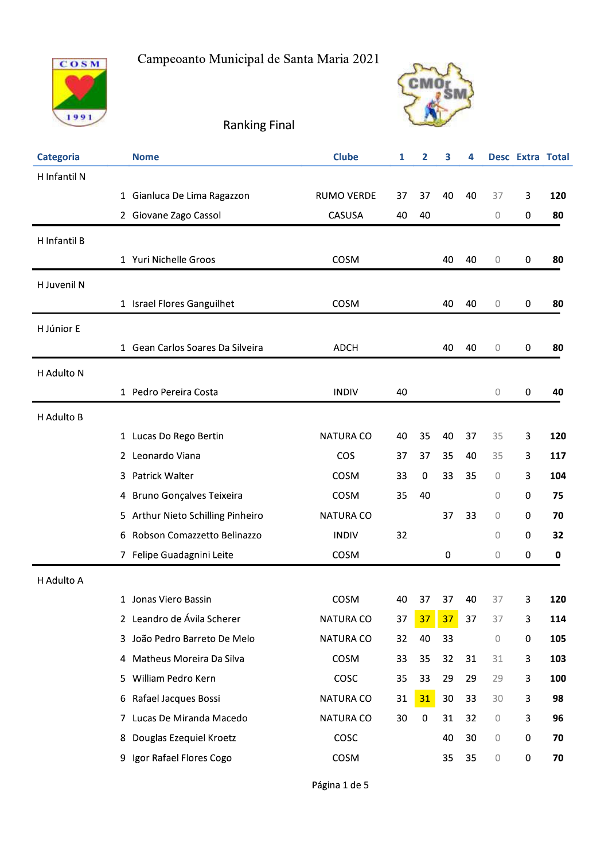





Ranking Final

| <b>Categoria</b> | <b>Nome</b>                       | <b>Clube</b>      | 1  | 2         | 3  | 4  |    | Desc Extra Tota |     |
|------------------|-----------------------------------|-------------------|----|-----------|----|----|----|-----------------|-----|
| H Infantil N     |                                   |                   |    |           |    |    |    |                 |     |
|                  | 1 Gianluca De Lima Ragazzon       | <b>RUMO VERDE</b> | 37 | 37        | 40 | 40 | 37 | 3               | 120 |
|                  | 2 Giovane Zago Cassol             | CASUSA            | 40 | 40        |    |    | 0  | 0               | 80  |
| H Infantil B     |                                   |                   |    |           |    |    |    |                 |     |
|                  | 1 Yuri Nichelle Groos             | COSM              |    |           | 40 | 40 | 0  | 0               | 80  |
| H Juvenil N      |                                   |                   |    |           |    |    |    |                 |     |
|                  | 1 Israel Flores Ganguilhet        | COSM              |    |           | 40 | 40 | 0  | 0               | 80  |
| H Júnior E       |                                   |                   |    |           |    |    |    |                 |     |
|                  | 1 Gean Carlos Soares Da Silveira  | <b>ADCH</b>       |    |           | 40 | 40 | 0  | 0               | 80  |
| H Adulto N       |                                   |                   |    |           |    |    |    |                 |     |
|                  | 1 Pedro Pereira Costa             | <b>INDIV</b>      | 40 |           |    |    | 0  | 0               | 40  |
| H Adulto B       |                                   |                   |    |           |    |    |    |                 |     |
|                  | 1 Lucas Do Rego Bertin            | <b>NATURA CO</b>  | 40 | 35        | 40 | 37 | 35 | 3               | 120 |
|                  | 2 Leonardo Viana                  | <b>COS</b>        | 37 | 37        | 35 | 40 | 35 | 3               | 117 |
|                  | 3 Patrick Walter                  | COSM              | 33 | 0         | 33 | 35 | 0  | 3               | 104 |
|                  | 4 Bruno Gonçalves Teixeira        | COSM              | 35 | 40        |    |    | 0  | 0               | 75  |
|                  | 5 Arthur Nieto Schilling Pinheiro | <b>NATURA CO</b>  |    |           | 37 | 33 | 0  | 0               | 70  |
| 6                | Robson Comazzetto Belinazzo       | <b>INDIV</b>      | 32 |           |    |    | 0  | 0               | 32  |
|                  | 7 Felipe Guadagnini Leite         | COSM              |    |           | 0  |    | 0  | 0               | 0   |
| H Adulto A       |                                   |                   |    |           |    |    |    |                 |     |
|                  | 1 Jonas Viero Bassin              | COSM              |    | 40 37     | 37 | 40 | 37 | 3               | 120 |
|                  | 2 Leandro de Ávila Scherer        | NATURA CO         | 37 | 37        | 37 | 37 | 37 | 3               | 114 |
|                  | 3 João Pedro Barreto De Melo      | NATURA CO         | 32 | 40        | 33 |    | 0  | 0               | 105 |
|                  | 4 Matheus Moreira Da Silva        | COSM              | 33 | 35        | 32 | 31 | 31 | 3               | 103 |
|                  | 5 William Pedro Kern              | COSC              | 35 | 33        | 29 | 29 | 29 | 3               | 100 |
| 6                | Rafael Jacques Bossi              | NATURA CO         | 31 | 31        | 30 | 33 | 30 | 3               | 98  |
|                  | 7 Lucas De Miranda Macedo         | NATURA CO         | 30 | $\pmb{0}$ | 31 | 32 | 0  | 3               | 96  |
| 8                | Douglas Ezequiel Kroetz           | COSC              |    |           | 40 | 30 | 0  | 0               | 70  |
|                  | 9 Igor Rafael Flores Cogo         | COSM              |    |           | 35 | 35 | 0  | 0               | 70  |

Página 1 de 5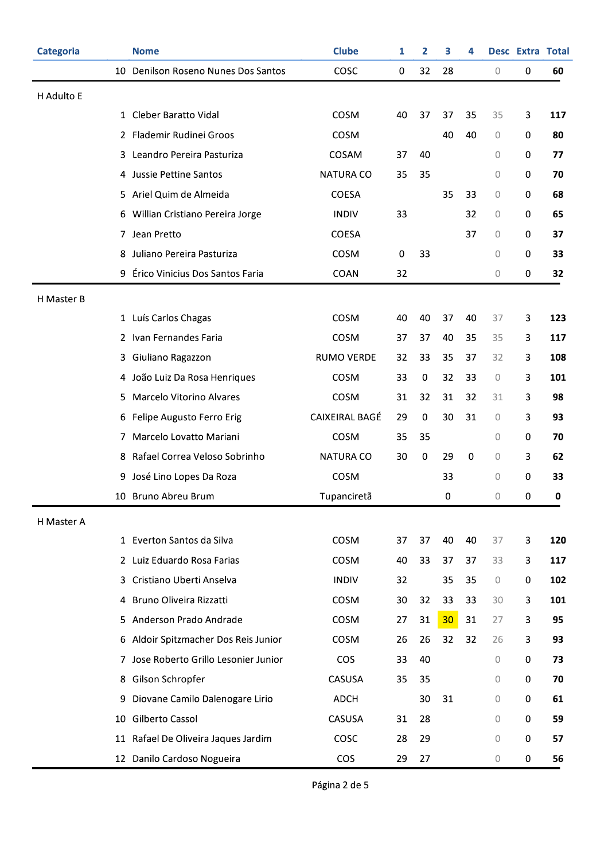| Categoria  |    | <b>Nome</b>                         | <b>Clube</b>      | 1  | 2         | з  | 4  |                | Desc Extra Total |     |
|------------|----|-------------------------------------|-------------------|----|-----------|----|----|----------------|------------------|-----|
|            |    | 10 Denilson Roseno Nunes Dos Santos | COSC              | 0  | 32        | 28 |    | $\mathcal O$   | 0                | 60  |
| H Adulto E |    |                                     |                   |    |           |    |    |                |                  |     |
|            |    | 1 Cleber Baratto Vidal              | COSM              | 40 | 37        | 37 | 35 | 35             | 3                | 117 |
|            |    | 2 Flademir Rudinei Groos            | COSM              |    |           | 40 | 40 | 0              | 0                | 80  |
|            |    | 3 Leandro Pereira Pasturiza         | COSAM             | 37 | 40        |    |    | 0              | 0                | 77  |
|            |    | 4 Jussie Pettine Santos             | <b>NATURA CO</b>  | 35 | 35        |    |    | 0              | 0                | 70  |
|            |    | 5 Ariel Quim de Almeida             | <b>COESA</b>      |    |           | 35 | 33 | 0              | 0                | 68  |
|            |    | 6 Willian Cristiano Pereira Jorge   | <b>INDIV</b>      | 33 |           |    | 32 | 0              | 0                | 65  |
|            |    | 7 Jean Pretto                       | <b>COESA</b>      |    |           |    | 37 | 0              | 0                | 37  |
|            | 8  | Juliano Pereira Pasturiza           | COSM              | 0  | 33        |    |    | $\mathbf 0$    | $\pmb{0}$        | 33  |
|            | 9  | Érico Vinicius Dos Santos Faria     | COAN              | 32 |           |    |    | 0              | 0                | 32  |
| H Master B |    |                                     |                   |    |           |    |    |                |                  |     |
|            |    | 1 Luís Carlos Chagas                | COSM              | 40 | 40        | 37 | 40 | 37             | 3                | 123 |
|            |    | 2 Ivan Fernandes Faria              | COSM              | 37 | 37        | 40 | 35 | 35             | 3                | 117 |
|            |    | 3 Giuliano Ragazzon                 | <b>RUMO VERDE</b> | 32 | 33        | 35 | 37 | 32             | 3                | 108 |
|            |    | 4 João Luiz Da Rosa Henriques       | COSM              | 33 | 0         | 32 | 33 | 0              | 3                | 101 |
|            |    | 5 Marcelo Vitorino Alvares          | COSM              | 31 | 32        | 31 | 32 | 31             | 3                | 98  |
|            | 6  | Felipe Augusto Ferro Erig           | CAIXEIRAL BAGÉ    | 29 | $\pmb{0}$ | 30 | 31 | 0              | 3                | 93  |
|            |    | 7 Marcelo Lovatto Mariani           | COSM              | 35 | 35        |    |    | 0              | 0                | 70  |
|            | 8  | Rafael Correa Veloso Sobrinho       | <b>NATURA CO</b>  | 30 | $\pmb{0}$ | 29 | 0  | 0              | 3                | 62  |
|            | 9  | José Lino Lopes Da Roza             | COSM              |    |           | 33 |    | 0              | 0                | 33  |
|            |    | 10 Bruno Abreu Brum                 | Tupanciretã       |    |           | 0  |    | $\overline{0}$ | 0                | 0   |
| H Master A |    |                                     |                   |    |           |    |    |                |                  |     |
|            |    | 1 Everton Santos da Silva           | COSM              | 37 | 37        | 40 | 40 | 37             | 3                | 120 |
|            |    | 2 Luiz Eduardo Rosa Farias          | COSM              | 40 | 33        | 37 | 37 | 33             | 3                | 117 |
|            | 3  | Cristiano Uberti Anselva            | <b>INDIV</b>      | 32 |           | 35 | 35 | $\circ$        | 0                | 102 |
|            | 4  | Bruno Oliveira Rizzatti             | COSM              | 30 | 32        | 33 | 33 | 30             | 3                | 101 |
|            | 5. | Anderson Prado Andrade              | COSM              | 27 | 31        | 30 | 31 | 27             | 3                | 95  |
|            | 6  | Aldoir Spitzmacher Dos Reis Junior  | COSM              | 26 | 26        | 32 | 32 | 26             | 3                | 93  |
|            | 7. | Jose Roberto Grillo Lesonier Junior | <b>COS</b>        | 33 | 40        |    |    | 0              | 0                | 73  |
|            | 8  | Gilson Schropfer                    | CASUSA            | 35 | 35        |    |    | 0              | 0                | 70  |
|            | 9  | Diovane Camilo Dalenogare Lirio     | ADCH              |    | 30        | 31 |    | 0              | 0                | 61  |
|            | 10 | Gilberto Cassol                     | CASUSA            | 31 | 28        |    |    | 0              | 0                | 59  |
|            |    | 11 Rafael De Oliveira Jaques Jardim | COSC              | 28 | 29        |    |    | 0              | $\pmb{0}$        | 57  |
|            |    | 12 Danilo Cardoso Nogueira          | <b>COS</b>        | 29 | 27        |    |    | 0              | 0                | 56  |

Página 2 de 5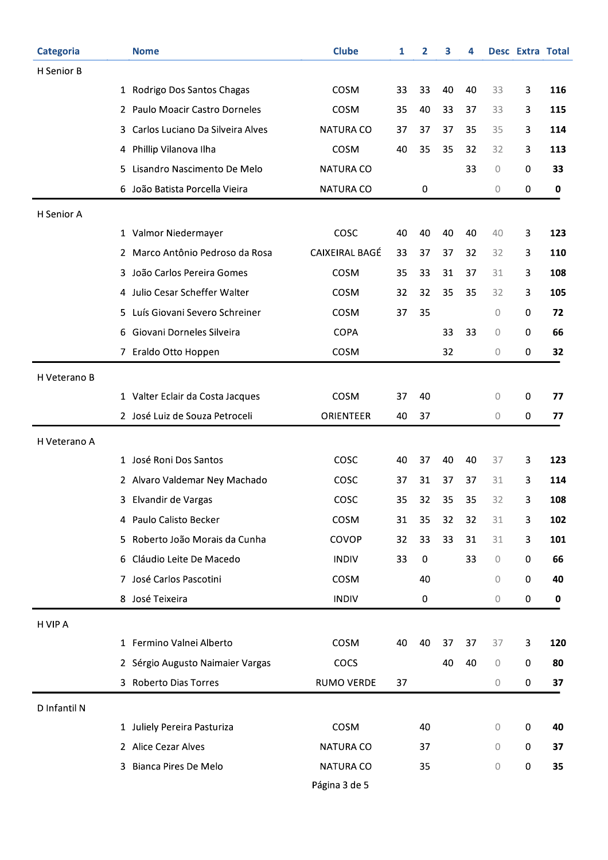| <b>Categoria</b> |    | <b>Nome</b>                      | <b>Clube</b>          | 1  | 2  | 3  | 4  |             | Desc Extra Total |     |
|------------------|----|----------------------------------|-----------------------|----|----|----|----|-------------|------------------|-----|
| H Senior B       |    |                                  |                       |    |    |    |    |             |                  |     |
|                  |    | 1 Rodrigo Dos Santos Chagas      | COSM                  | 33 | 33 | 40 | 40 | 33          | 3                | 116 |
|                  |    | 2 Paulo Moacir Castro Dorneles   | COSM                  | 35 | 40 | 33 | 37 | 33          | 3                | 115 |
|                  | 3. | Carlos Luciano Da Silveira Alves | <b>NATURA CO</b>      | 37 | 37 | 37 | 35 | 35          | 3                | 114 |
|                  |    | 4 Phillip Vilanova Ilha          | COSM                  | 40 | 35 | 35 | 32 | 32          | 3                | 113 |
|                  | 5. | Lisandro Nascimento De Melo      | <b>NATURA CO</b>      |    |    |    | 33 | 0           | 0                | 33  |
|                  | 6  | João Batista Porcella Vieira     | NATURA CO             |    | 0  |    |    | 0           | 0                | 0   |
| H Senior A       |    |                                  |                       |    |    |    |    |             |                  |     |
|                  |    | 1 Valmor Niedermayer             | COSC                  | 40 | 40 | 40 | 40 | 40          | 3                | 123 |
|                  |    | 2 Marco Antônio Pedroso da Rosa  | <b>CAIXEIRAL BAGÉ</b> | 33 | 37 | 37 | 32 | 32          | 3                | 110 |
|                  | 3. | João Carlos Pereira Gomes        | COSM                  | 35 | 33 | 31 | 37 | 31          | 3                | 108 |
|                  |    | 4 Julio Cesar Scheffer Walter    | COSM                  | 32 | 32 | 35 | 35 | 32          | 3                | 105 |
|                  |    | 5 Luís Giovani Severo Schreiner  | COSM                  | 37 | 35 |    |    | 0           | 0                | 72  |
|                  | 6  | Giovani Dorneles Silveira        | <b>COPA</b>           |    |    | 33 | 33 | 0           | 0                | 66  |
|                  |    | 7 Eraldo Otto Hoppen             | COSM                  |    |    | 32 |    | 0           | 0                | 32  |
| H Veterano B     |    |                                  |                       |    |    |    |    |             |                  |     |
|                  |    | 1 Valter Eclair da Costa Jacques | COSM                  | 37 | 40 |    |    | 0           | 0                | 77  |
|                  |    | 2 José Luiz de Souza Petroceli   | ORIENTEER             | 40 | 37 |    |    | 0           | 0                | 77  |
| H Veterano A     |    |                                  |                       |    |    |    |    |             |                  |     |
|                  |    | 1 José Roni Dos Santos           | COSC                  | 40 | 37 | 40 | 40 | 37          | 3                | 123 |
|                  |    | 2 Alvaro Valdemar Ney Machado    | COSC                  | 37 | 31 | 37 | 37 | 31          | 3                | 114 |
|                  |    | 3 Elvandir de Vargas             | COSC                  | 35 | 32 | 35 | 35 | 32          | 3                | 108 |
|                  |    | 4 Paulo Calisto Becker           | COSM                  | 31 | 35 | 32 | 32 | 31          | 3                | 102 |
|                  |    | 5 Roberto João Morais da Cunha   | COVOP                 | 32 | 33 | 33 | 31 | 31          | 3                | 101 |
|                  |    | 6 Cláudio Leite De Macedo        | <b>INDIV</b>          | 33 | 0  |    | 33 | $\circ$     | 0                | 66  |
|                  |    | 7 José Carlos Pascotini          | COSM                  |    | 40 |    |    | $\circ$     | 0                | 40  |
|                  |    | 8 José Teixeira                  | <b>INDIV</b>          |    | 0  |    |    | $\circ$     | 0                | 0   |
| H VIP A          |    |                                  |                       |    |    |    |    |             |                  |     |
|                  |    | 1 Fermino Valnei Alberto         | COSM                  | 40 | 40 | 37 | 37 | 37          | 3                | 120 |
|                  |    | 2 Sérgio Augusto Naimaier Vargas | COCS                  |    |    | 40 | 40 | $\mathbf 0$ | 0                | 80  |
|                  |    | 3 Roberto Dias Torres            | RUMO VERDE            | 37 |    |    |    | 0           | 0                | 37  |
| D Infantil N     |    |                                  |                       |    |    |    |    |             |                  |     |
|                  |    | 1 Juliely Pereira Pasturiza      | COSM                  |    | 40 |    |    | 0           | 0                | 40  |
|                  |    | 2 Alice Cezar Alves              | NATURA CO             |    | 37 |    |    | 0           | 0                | 37  |
|                  | 3. | Bianca Pires De Melo             | NATURA CO             |    | 35 |    |    | 0           | 0                | 35  |
|                  |    |                                  | Página 3 de 5         |    |    |    |    |             |                  |     |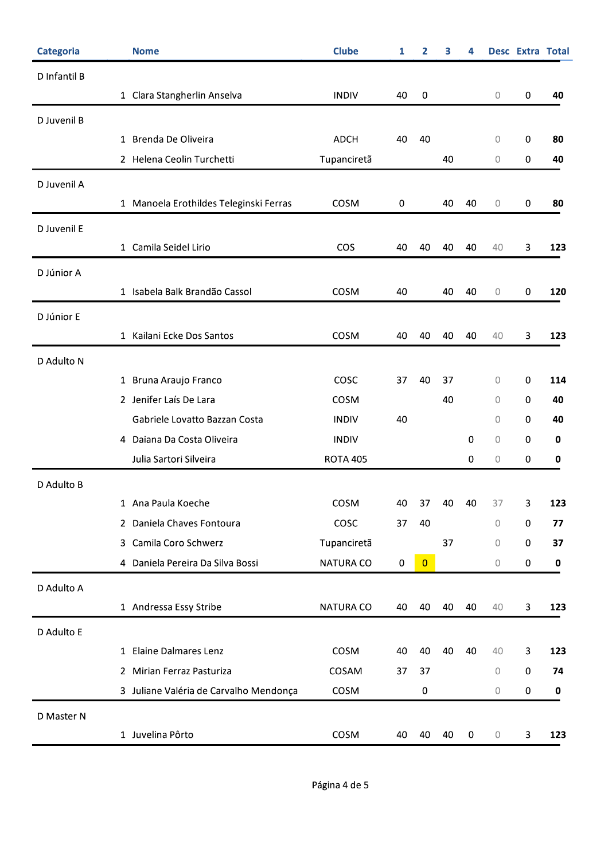| <b>Categoria</b> | <b>Nome</b>                            | <b>Clube</b>     | 1  | 2              | 3  | 4           |             | <b>Desc Extra Total</b> |             |
|------------------|----------------------------------------|------------------|----|----------------|----|-------------|-------------|-------------------------|-------------|
| D Infantil B     |                                        |                  |    |                |    |             |             |                         |             |
|                  | 1 Clara Stangherlin Anselva            | <b>INDIV</b>     | 40 | $\pmb{0}$      |    |             | 0           | $\pmb{0}$               | 40          |
| D Juvenil B      |                                        |                  |    |                |    |             |             |                         |             |
|                  | 1 Brenda De Oliveira                   | <b>ADCH</b>      | 40 | 40             |    |             | 0           | $\pmb{0}$               | 80          |
|                  | 2 Helena Ceolin Turchetti              | Tupanciretã      |    |                | 40 |             | 0           | $\boldsymbol{0}$        | 40          |
| D Juvenil A      |                                        |                  |    |                |    |             |             |                         |             |
|                  | 1 Manoela Erothildes Teleginski Ferras | COSM             | 0  |                | 40 | 40          | $\mathbf 0$ | $\pmb{0}$               | 80          |
| D Juvenil E      |                                        |                  |    |                |    |             |             |                         |             |
|                  | 1 Camila Seidel Lirio                  | <b>COS</b>       | 40 | 40             | 40 | 40          | 40          | 3                       | 123         |
| D Júnior A       |                                        |                  |    |                |    |             |             |                         |             |
|                  | 1 Isabela Balk Brandão Cassol          | COSM             | 40 |                | 40 | 40          | $\mathbf 0$ | $\pmb{0}$               | 120         |
|                  |                                        |                  |    |                |    |             |             |                         |             |
| D Júnior E       | 1 Kailani Ecke Dos Santos              | COSM             | 40 | 40             | 40 | 40          | 40          | 3                       | 123         |
|                  |                                        |                  |    |                |    |             |             |                         |             |
| D Adulto N       |                                        |                  |    |                |    |             |             |                         |             |
|                  | 1 Bruna Araujo Franco                  | COSC             | 37 | 40             | 37 |             | 0           | 0                       | 114         |
|                  | 2 Jenifer Laís De Lara                 | COSM             |    |                | 40 |             | 0           | $\pmb{0}$               | 40          |
|                  | Gabriele Lovatto Bazzan Costa          | <b>INDIV</b>     | 40 |                |    |             | 0           | 0                       | 40          |
|                  | 4 Daiana Da Costa Oliveira             | <b>INDIV</b>     |    |                |    | 0           | $\mathbf 0$ | $\pmb{0}$               | $\mathbf 0$ |
|                  | Julia Sartori Silveira                 | <b>ROTA 405</b>  |    |                |    | 0           | 0           | $\pmb{0}$               | 0           |
| D Adulto B       |                                        |                  |    |                |    |             |             |                         |             |
|                  | 1 Ana Paula Koeche                     | COSM             | 40 | 37             | 40 | 40          | 37          | 3                       | 123         |
|                  | 2 Daniela Chaves Fontoura              | COSC             | 37 | 40             |    |             | 0           | $\pmb{0}$               | 77          |
|                  | 3 Camila Coro Schwerz                  | Tupanciretã      |    |                | 37 |             | 0           | $\pmb{0}$               | 37          |
|                  | 4 Daniela Pereira Da Silva Bossi       | <b>NATURA CO</b> | 0  | $\overline{0}$ |    |             | 0           | $\pmb{0}$               | $\mathbf 0$ |
| D Adulto A       |                                        |                  |    |                |    |             |             |                         |             |
|                  | 1 Andressa Essy Stribe                 | NATURA CO        | 40 | 40             | 40 | 40          | 40          | 3                       | 123         |
| D Adulto E       |                                        |                  |    |                |    |             |             |                         |             |
|                  | 1 Elaine Dalmares Lenz                 | COSM             | 40 | 40             | 40 | 40          | 40          | 3                       | 123         |
|                  | 2 Mirian Ferraz Pasturiza              | COSAM            | 37 | 37             |    |             | 0           | $\pmb{0}$               | 74          |
|                  | 3 Juliane Valéria de Carvalho Mendonça | COSM             |    | $\pmb{0}$      |    |             | 0           | $\pmb{0}$               | $\mathbf 0$ |
| D Master N       |                                        |                  |    |                |    |             |             |                         |             |
|                  | 1 Juvelina Pôrto                       | COSM             | 40 | 40             | 40 | $\mathbf 0$ | $\mathbb O$ | 3                       | 123         |